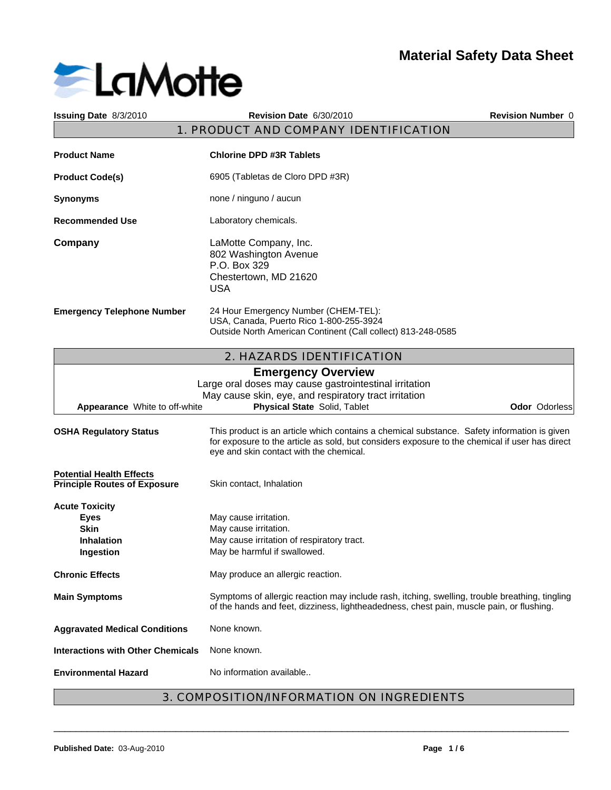

| Issuing Date 8/3/2010                                                                        | Revision Date 6/30/2010                                                                                                                                                                                                                  | <b>Revision Number 0</b> |
|----------------------------------------------------------------------------------------------|------------------------------------------------------------------------------------------------------------------------------------------------------------------------------------------------------------------------------------------|--------------------------|
|                                                                                              | 1. PRODUCT AND COMPANY IDENTIFICATION                                                                                                                                                                                                    |                          |
| <b>Product Name</b>                                                                          | <b>Chlorine DPD #3R Tablets</b>                                                                                                                                                                                                          |                          |
| <b>Product Code(s)</b>                                                                       | 6905 (Tabletas de Cloro DPD #3R)                                                                                                                                                                                                         |                          |
| <b>Synonyms</b>                                                                              | none / ninguno / aucun                                                                                                                                                                                                                   |                          |
| <b>Recommended Use</b>                                                                       | Laboratory chemicals.                                                                                                                                                                                                                    |                          |
| Company                                                                                      | LaMotte Company, Inc.<br>802 Washington Avenue<br>P.O. Box 329<br>Chestertown, MD 21620<br><b>USA</b>                                                                                                                                    |                          |
| <b>Emergency Telephone Number</b>                                                            | 24 Hour Emergency Number (CHEM-TEL):<br>USA, Canada, Puerto Rico 1-800-255-3924<br>Outside North American Continent (Call collect) 813-248-0585                                                                                          |                          |
|                                                                                              | 2. HAZARDS IDENTIFICATION                                                                                                                                                                                                                |                          |
| Appearance White to off-white                                                                | <b>Emergency Overview</b><br>Large oral doses may cause gastrointestinal irritation<br>May cause skin, eye, and respiratory tract irritation<br>Physical State Solid, Tablet                                                             | Odor Odorless            |
| <b>OSHA Regulatory Status</b>                                                                | This product is an article which contains a chemical substance. Safety information is given<br>for exposure to the article as sold, but considers exposure to the chemical if user has direct<br>eye and skin contact with the chemical. |                          |
| <b>Potential Health Effects</b><br><b>Principle Routes of Exposure</b>                       | Skin contact, Inhalation                                                                                                                                                                                                                 |                          |
| <b>Acute Toxicity</b><br><b>Eyes</b><br><b>Skin</b><br><b>Inhalation</b><br><b>Ingestion</b> | May cause irritation.<br>May cause irritation.<br>May cause irritation of respiratory tract.<br>May be harmful if swallowed.                                                                                                             |                          |
| <b>Chronic Effects</b>                                                                       | May produce an allergic reaction.                                                                                                                                                                                                        |                          |
| <b>Main Symptoms</b>                                                                         | Symptoms of allergic reaction may include rash, itching, swelling, trouble breathing, tingling<br>of the hands and feet, dizziness, lightheadedness, chest pain, muscle pain, or flushing.                                               |                          |
| <b>Aggravated Medical Conditions</b>                                                         | None known.                                                                                                                                                                                                                              |                          |
| <b>Interactions with Other Chemicals</b>                                                     | None known.                                                                                                                                                                                                                              |                          |
| <b>Environmental Hazard</b>                                                                  | No information available                                                                                                                                                                                                                 |                          |
|                                                                                              |                                                                                                                                                                                                                                          |                          |

# 3. COMPOSITION/INFORMATION ON INGREDIENTS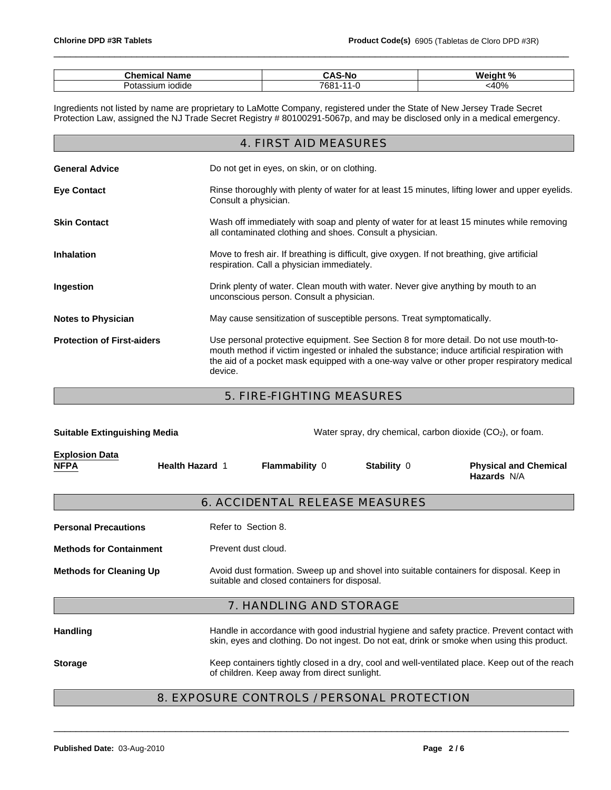| Chemical<br>Name                | $\ddot{\phantom{1}}$<br>. К<br>$-11$<br>۰.<br> | $M$ aight %<br>'' |
|---------------------------------|------------------------------------------------|-------------------|
| مدم د .<br>`ssium iodide<br>ິບເ | 7681<br>$\sim$                                 | $-400'$<br>TV 70  |

\_\_\_\_\_\_\_\_\_\_\_\_\_\_\_\_\_\_\_\_\_\_\_\_\_\_\_\_\_\_\_\_\_\_\_\_\_\_\_\_\_\_\_\_\_\_\_\_\_\_\_\_\_\_\_\_\_\_\_\_\_\_\_\_\_\_\_\_\_\_\_\_\_\_\_\_\_\_\_\_\_\_\_\_\_\_\_\_\_\_\_\_\_

Ingredients not listed by name are proprietary to LaMotte Company, registered under the State of New Jersey Trade Secret Protection Law, assigned the NJ Trade Secret Registry # 80100291-5067p, and may be disclosed only in a medical emergency.

|                                   | 4. FIRST AID MEASURES                                                                                                                                                                                                                                                                           |
|-----------------------------------|-------------------------------------------------------------------------------------------------------------------------------------------------------------------------------------------------------------------------------------------------------------------------------------------------|
| <b>General Advice</b>             | Do not get in eyes, on skin, or on clothing.                                                                                                                                                                                                                                                    |
| <b>Eye Contact</b>                | Rinse thoroughly with plenty of water for at least 15 minutes, lifting lower and upper eyelids.<br>Consult a physician.                                                                                                                                                                         |
| <b>Skin Contact</b>               | Wash off immediately with soap and plenty of water for at least 15 minutes while removing<br>all contaminated clothing and shoes. Consult a physician.                                                                                                                                          |
| <b>Inhalation</b>                 | Move to fresh air. If breathing is difficult, give oxygen. If not breathing, give artificial<br>respiration. Call a physician immediately.                                                                                                                                                      |
| Ingestion                         | Drink plenty of water. Clean mouth with water. Never give anything by mouth to an<br>unconscious person. Consult a physician.                                                                                                                                                                   |
| <b>Notes to Physician</b>         | May cause sensitization of susceptible persons. Treat symptomatically.                                                                                                                                                                                                                          |
| <b>Protection of First-aiders</b> | Use personal protective equipment. See Section 8 for more detail. Do not use mouth-to-<br>mouth method if victim ingested or inhaled the substance; induce artificial respiration with<br>the aid of a pocket mask equipped with a one-way valve or other proper respiratory medical<br>device. |

5. FIRE-FIGHTING MEASURES

| <b>Suitable Extinguishing Media</b>  |                        | Water spray, dry chemical, carbon dioxide $(CO2)$ , or foam. |                                      |                                                                                                                                                                                            |  |  |
|--------------------------------------|------------------------|--------------------------------------------------------------|--------------------------------------|--------------------------------------------------------------------------------------------------------------------------------------------------------------------------------------------|--|--|
| <b>Explosion Data</b><br><b>NFPA</b> | <b>Health Hazard 1</b> |                                                              | <b>Flammability 0</b><br>Stability 0 |                                                                                                                                                                                            |  |  |
|                                      |                        | 6. ACCIDENTAL RELEASE MEASURES                               |                                      |                                                                                                                                                                                            |  |  |
| <b>Personal Precautions</b>          | Refer to Section 8.    |                                                              |                                      |                                                                                                                                                                                            |  |  |
| <b>Methods for Containment</b>       |                        | Prevent dust cloud.                                          |                                      |                                                                                                                                                                                            |  |  |
| <b>Methods for Cleaning Up</b>       |                        | suitable and closed containers for disposal.                 |                                      | Avoid dust formation. Sweep up and shovel into suitable containers for disposal. Keep in                                                                                                   |  |  |
|                                      |                        | 7. HANDLING AND STORAGE                                      |                                      |                                                                                                                                                                                            |  |  |
| <b>Handling</b>                      |                        |                                                              |                                      | Handle in accordance with good industrial hygiene and safety practice. Prevent contact with<br>skin, eyes and clothing. Do not ingest. Do not eat, drink or smoke when using this product. |  |  |
| <b>Storage</b>                       |                        | of children. Keep away from direct sunlight.                 |                                      | Keep containers tightly closed in a dry, cool and well-ventilated place. Keep out of the reach                                                                                             |  |  |

# 8. EXPOSURE CONTROLS / PERSONAL PROTECTION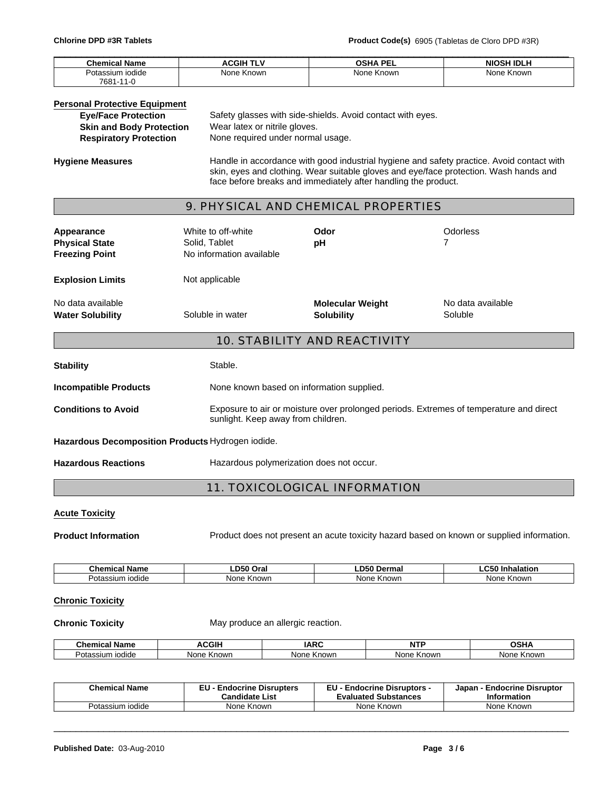| <b>Chemical Name</b> | ACGIH <sup>-</sup> | <b>OSHA PEL</b> | I IDLF<br>MIU. |
|----------------------|--------------------|-----------------|----------------|
| Potassium iodide     | None Known         | None Known      | None Known     |
| 7681-1<br>-11-0      |                    |                 |                |

#### **Personal Protective Equipment**

| <b>Eye/Face Protection</b>      | Safety glasses with side-shields. Avoid contact with eyes. |
|---------------------------------|------------------------------------------------------------|
| <b>Skin and Body Protection</b> | Wear latex or nitrile gloves.                              |
| <b>Respiratory Protection</b>   | None required under normal usage.                          |

**Hygiene Measures** Handle in accordance with good industrial hygiene and safety practice. Avoid contact with skin, eyes and clothing. Wear suitable gloves and eye/face protection. Wash hands and face before breaks and immediately after handling the product.

# 9. PHYSICAL AND CHEMICAL PROPERTIES

| Appearance<br><b>Physical State</b><br><b>Freezing Point</b> | White to off-white<br>Solid, Tablet<br>No information available | Odor<br>рH                                                                             | Odorless<br>7                |
|--------------------------------------------------------------|-----------------------------------------------------------------|----------------------------------------------------------------------------------------|------------------------------|
| <b>Explosion Limits</b>                                      | Not applicable                                                  |                                                                                        |                              |
| No data available<br><b>Water Solubility</b>                 | Soluble in water                                                | <b>Molecular Weight</b><br><b>Solubility</b>                                           | No data available<br>Soluble |
|                                                              |                                                                 | <b>10. STABILITY AND REACTIVITY</b>                                                    |                              |
| <b>Stability</b>                                             | Stable.                                                         |                                                                                        |                              |
| <b>Incompatible Products</b>                                 | None known based on information supplied.                       |                                                                                        |                              |
| <b>Conditions to Avoid</b>                                   | sunlight. Keep away from children.                              | Exposure to air or moisture over prolonged periods. Extremes of temperature and direct |                              |
| Hazardous Decomposition Products Hydrogen iodide.            |                                                                 |                                                                                        |                              |
| <b>Hazardous Reactions</b>                                   | Hazardous polymerization does not occur.                        |                                                                                        |                              |

# 11. TOXICOLOGICAL INFORMATION

#### **Acute Toxicity**

**Product Information** Product does not present an acute toxicity hazard based on known or supplied information.

| Chemical Name                | ---<br>.D50<br>Oral    | rma.<br>ם ו     | ~-<br>11<br>alation  |
|------------------------------|------------------------|-----------------|----------------------|
| Potassium<br>liodide<br>ээнш | Non<br>Knowr<br>$\sim$ | . Knowr<br>None | Known<br>. Nor<br>ıe |

#### **Chronic Toxicity**

**Chronic Toxicity** May produce an allergic reaction.

| м.<br>Name<br>Chemical                         | CGII                   | AD<br><b>IAR</b>    | $\overline{\phantom{a}}$ | ∟י∩<br>         |
|------------------------------------------------|------------------------|---------------------|--------------------------|-----------------|
| .<br>$3^{\sim +}$<br>otassium<br><b>Todide</b> | N∩n<br>Knowr<br>w<br>. | Knowr<br>いへへ<br>'VC | Knowr<br><b>None</b>     | . Knowr<br>None |

| <b>Chemical Name</b> | <b>Endocrine Disrupters</b><br><b>Candidate List</b> | ᇊ<br><b>Endocrine Disruptors -</b><br>cu.<br><b>Evaluated Substances</b> | <b>Endocrine Disruptor</b><br>Japan<br><b>Information</b> |
|----------------------|------------------------------------------------------|--------------------------------------------------------------------------|-----------------------------------------------------------|
| Potassium iodide     | : Known<br>None.                                     | None Known                                                               | None Known                                                |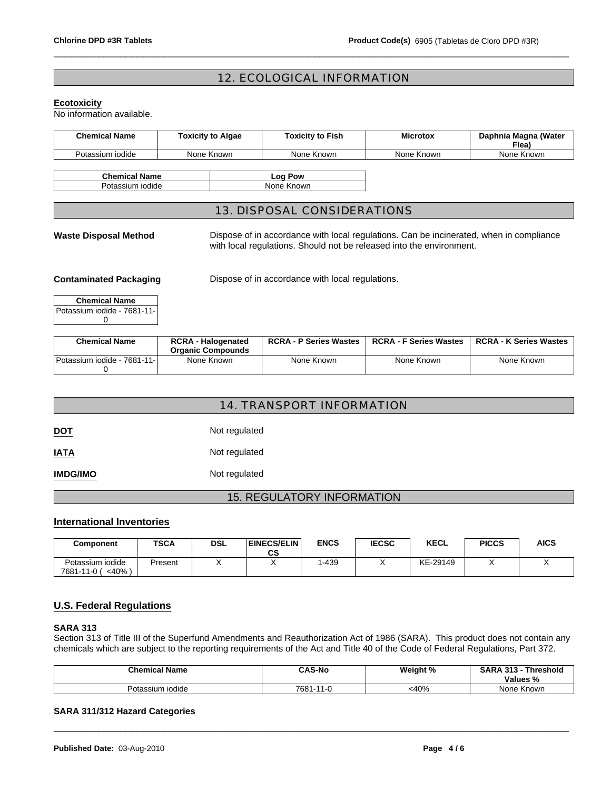# 12. ECOLOGICAL INFORMATION

\_\_\_\_\_\_\_\_\_\_\_\_\_\_\_\_\_\_\_\_\_\_\_\_\_\_\_\_\_\_\_\_\_\_\_\_\_\_\_\_\_\_\_\_\_\_\_\_\_\_\_\_\_\_\_\_\_\_\_\_\_\_\_\_\_\_\_\_\_\_\_\_\_\_\_\_\_\_\_\_\_\_\_\_\_\_\_\_\_\_\_\_\_

#### **Ecotoxicity**

No information available.

| <b>Chemical Name</b>         | <b>Toxicity to Algae</b> | <b>Toxicity to Fish</b>                                                                 | <b>Microtox</b> | Daphnia Magna (Water<br>Flea) |
|------------------------------|--------------------------|-----------------------------------------------------------------------------------------|-----------------|-------------------------------|
| Potassium iodide             | None Known               | None Known                                                                              | None Known      | None Known                    |
| <b>Chemical Name</b>         |                          | Log Pow                                                                                 |                 |                               |
| Potassium iodide             |                          | None Known                                                                              |                 |                               |
|                              |                          | 13. DISPOSAL CONSIDERATIONS                                                             |                 |                               |
| <b>Waste Disposal Method</b> |                          | Dispose of in accordance with local regulations. Can be incinerated, when in compliance |                 |                               |

with local regulations. Should not be released into the environment.

**Contaminated Packaging Dispose of in accordance with local regulations.** 

| <b>Chemical Name</b>        |
|-----------------------------|
| Potassium iodide - 7681-11- |
|                             |

| <b>Chemical Name</b>         | <b>RCRA - Halogenated</b> | <b>RCRA - P Series Wastes</b> | <b>RCRA - F Series Wastes</b> | <b>RCRA - K Series Wastes</b> |
|------------------------------|---------------------------|-------------------------------|-------------------------------|-------------------------------|
|                              | <b>Organic Compounds</b>  |                               |                               |                               |
| Potassium iodide - 7681-11-1 | None Known                | None Known                    | None Known                    | None Known                    |
|                              |                           |                               |                               |                               |

|                 | 14. TRANSPORT INFORMATION |
|-----------------|---------------------------|
| <b>DOT</b>      | Not regulated             |
| <b>IATA</b>     | Not regulated             |
| <b>IMDG/IMO</b> | Not regulated             |

# 15. REGULATORY INFORMATION

# **International Inventories**

| Component                                  | <b>TSCA</b> | DSL | <b>EINECS/ELIN</b><br>~~<br>υJ | <b>ENCS</b> | <b>IECSC</b> | <b>KECL</b> | <b>PICCS</b> | AICS |
|--------------------------------------------|-------------|-----|--------------------------------|-------------|--------------|-------------|--------------|------|
| Potassium iodide<br>$<$ 40%<br>7681-11-0 ( | Present     |     |                                | $-439$      |              | KE-29149    |              |      |

# **U.S. Federal Regulations**

# **SARA 313**

Section 313 of Title III of the Superfund Amendments and Reauthorization Act of 1986 (SARA). This product does not contain any chemicals which are subject to the reporting requirements of the Act and Title 40 of the Code of Federal Regulations, Part 372.

| <b>Chemical Name</b>       | <b>CAS-No</b>                       | Weight % | <b>SARA</b><br>242<br>Threshold<br>۰ ت ۱ ت<br><b>Values %</b> |
|----------------------------|-------------------------------------|----------|---------------------------------------------------------------|
| $\sim$<br>Potassium iodide | 7681-<br>$\lambda$ $\lambda$<br>1-U | <40%     | None Known                                                    |

\_\_\_\_\_\_\_\_\_\_\_\_\_\_\_\_\_\_\_\_\_\_\_\_\_\_\_\_\_\_\_\_\_\_\_\_\_\_\_\_\_\_\_\_\_\_\_\_\_\_\_\_\_\_\_\_\_\_\_\_\_\_\_\_\_\_\_\_\_\_\_\_\_\_\_\_\_\_\_\_\_\_\_\_\_\_\_\_\_\_\_\_\_

#### **SARA 311/312 Hazard Categories**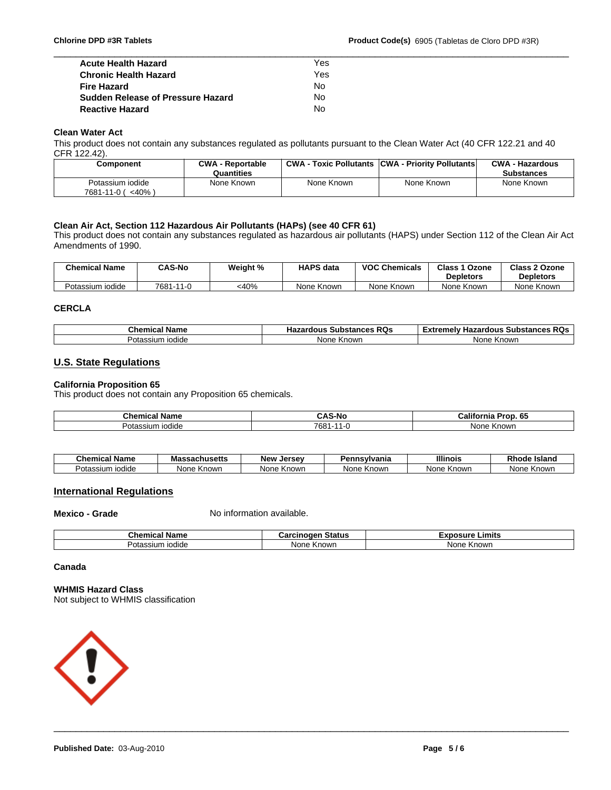| <b>Acute Health Hazard</b>               | Yes |  |
|------------------------------------------|-----|--|
| <b>Chronic Health Hazard</b>             | Yes |  |
| <b>Fire Hazard</b>                       | No  |  |
| <b>Sudden Release of Pressure Hazard</b> | No  |  |
| <b>Reactive Hazard</b>                   | No  |  |

#### **Clean Water Act**

This product does not contain any substances regulated as pollutants pursuant to the Clean Water Act (40 CFR 122.21 and 40 CFR 122.42).

| Component             | <b>CWA - Reportable</b> |            | <b>CWA - Toxic Pollutants CWA - Priority Pollutants</b> | <b>CWA - Hazardous</b> |
|-----------------------|-------------------------|------------|---------------------------------------------------------|------------------------|
|                       | Quantities              |            |                                                         | <b>Substances</b>      |
| Potassium iodide      | None Known              | None Known | None Known                                              | None Known             |
| <40% \<br>7681-11-0 ( |                         |            |                                                         |                        |

#### **Clean Air Act, Section 112 Hazardous Air Pollutants (HAPs) (see 40 CFR 61)**

This product does not contain any substances regulated as hazardous air pollutants (HAPS) under Section 112 of the Clean Air Act Amendments of 1990.

| <b>Chemical Name</b> | <b>CAS-No</b>      | Weight % | <b>HAPS data</b> | <b>VOC Chemicals</b> | Class 1<br>Ozone<br><b>Depletors</b> | <b>Class 2 Ozone</b><br><b>Depletors</b> |
|----------------------|--------------------|----------|------------------|----------------------|--------------------------------------|------------------------------------------|
| Potassium iodide     | 7681-<br>$-11 - 0$ | <40%     | None Known       | None Known           | None Known                           | None Known                               |

#### **CERCLA**

| $  -$<br>Name<br>Chemical                     | אחס<br><br><b>Substances</b><br>ישה<br>.<br>ıa, | пn.<br>∶emel⊻<br><b>Hazardous</b><br>- 300<br>. Substances RQs<br>EXLI |
|-----------------------------------------------|-------------------------------------------------|------------------------------------------------------------------------|
| issium<br><b>TOQIQE</b><br>$3^{\sim +}$<br>ur | ≅nown<br>None<br>'NL                            | Knowr<br>Non                                                           |

# **U.S. State Regulations**

#### **California Proposition 65**

This product does not contain any Proposition 65 chemicals.

| Chem<br>ame             | $\sim$<br>-<br>-ויי | California<br>-65<br>. |
|-------------------------|---------------------|------------------------|
| iodide<br>siun.<br>'0ta | 7681<br>. .         | Non<br>. Known         |

| Chemical  | Name       | 1100<br>Massachusetts | Jersev<br>Alow.      | Pennsvlvania | <b>Illinois</b> | Rhod∈<br><b>Island</b> |
|-----------|------------|-----------------------|----------------------|--------------|-----------------|------------------------|
| Potassium | , iodide i | Knowr<br>vone         | None<br>Known<br>15. | None Known   | Knowr<br>None   | None Known             |

# **International Regulations**

**Mexico - Grade** No information available.

| Name<br>⊸nemica⊨                    | .<br>----<br>ວເaເus    | .ımıts<br>------<br>.<br>11 |
|-------------------------------------|------------------------|-----------------------------|
| :SII IM<br><b>rodide</b><br>– ച്∧÷് | ı<br>None<br>nown<br>n | <b>None</b><br>own<br>nı.   |

#### **Canada**

# **WHMIS Hazard Class**

Not subject to WHMIS classification